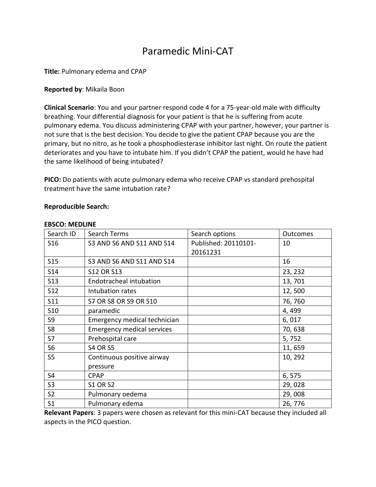# Paramedic Mini-CAT

**Title:** Pulmonary edema and CPAP

## **Reported by**: Mikaila Boon

**Clinical Scenario**: You and your partner respond code 4 for a 75-year-old male with difficulty breathing. Your differential diagnosis for your patient is that he is suffering from acute pulmonary edema. You discuss administering CPAP with your partner, however, your partner is not sure that is the best decision. You decide to give the patient CPAP because you are the primary, but no nitro, as he took a phosphodiesterase inhibitor last night. On route the patient deteriorates and you have to intubate him. If you didn't CPAP the patient, would he have had the same likelihood of being intubated?

**PICO:** Do patients with acute pulmonary edema who receive CPAP vs standard prehospital treatment have the same intubation rate?

### **Reproducible Search:**

| Search ID       | Search Terms                      | Search options       | Outcomes |
|-----------------|-----------------------------------|----------------------|----------|
| S <sub>16</sub> | S3 AND S6 AND S11 AND S14         | Published: 20110101- | 10       |
|                 |                                   | 20161231             |          |
| <b>S15</b>      | S3 AND S6 AND S11 AND S14         |                      | 16       |
| S <sub>14</sub> | <b>S12 OR S13</b>                 |                      | 23, 232  |
| <b>S13</b>      | Endotracheal intubation           |                      | 13,701   |
| <b>S12</b>      | Intubation rates                  |                      | 12,500   |
| <b>S11</b>      | S7 OR S8 OR S9 OR S10             |                      | 76,760   |
| S <sub>10</sub> | paramedic                         |                      | 4,499    |
| S9              | Emergency medical technician      |                      | 6,017    |
| S8              | <b>Emergency medical services</b> |                      | 70,638   |
| <b>S7</b>       | Prehospital care                  |                      | 5,752    |
| S <sub>6</sub>  | <b>S4 OR S5</b>                   |                      | 11,659   |
| S <sub>5</sub>  | Continuous positive airway        |                      | 10, 292  |
|                 | pressure                          |                      |          |
| S <sub>4</sub>  | <b>CPAP</b>                       |                      | 6,575    |
| S <sub>3</sub>  | <b>S1 OR S2</b>                   |                      | 29,028   |
| S <sub>2</sub>  | Pulmonary oedema                  |                      | 29,008   |
| S <sub>1</sub>  | Pulmonary edema                   |                      | 26,776   |

#### **EBSCO: MEDLINE**

**Relevant Papers**: 3 papers were chosen as relevant for this mini-CAT because they included all aspects in the PICO question.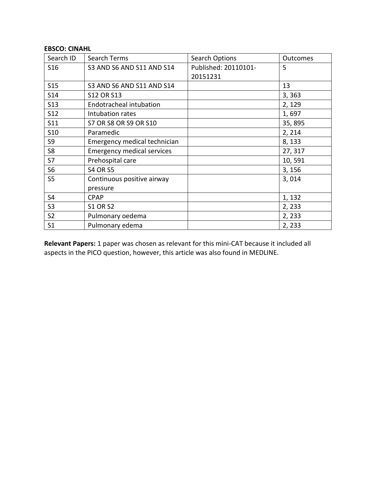## **EBSCO: CINAHL**

| Search ID       | Search Terms                      | <b>Search Options</b> | <b>Outcomes</b> |
|-----------------|-----------------------------------|-----------------------|-----------------|
| S <sub>16</sub> | S3 AND S6 AND S11 AND S14         | Published: 20110101-  | 5               |
|                 |                                   | 20151231              |                 |
| S15             | S3 AND S6 AND S11 AND S14         |                       | 13              |
| S14             | <b>S12 OR S13</b>                 |                       | 3,363           |
| <b>S13</b>      | <b>Endotracheal intubation</b>    |                       | 2, 129          |
| <b>S12</b>      | Intubation rates                  |                       | 1,697           |
| S11             | S7 OR S8 OR S9 OR S10             |                       | 35,895          |
| <b>S10</b>      | Paramedic                         |                       | 2, 214          |
| S9              | Emergency medical technician      |                       | 8,133           |
| S <sub>8</sub>  | <b>Emergency medical services</b> |                       | 27, 317         |
| S7              | Prehospital care                  |                       | 10,591          |
| S <sub>6</sub>  | <b>S4 OR S5</b>                   |                       | 3, 156          |
| S <sub>5</sub>  | Continuous positive airway        |                       | 3,014           |
|                 | pressure                          |                       |                 |
| S <sub>4</sub>  | <b>CPAP</b>                       |                       | 1, 132          |
| S <sub>3</sub>  | <b>S1 OR S2</b>                   |                       | 2,233           |
| S <sub>2</sub>  | Pulmonary oedema                  |                       | 2,233           |
| S <sub>1</sub>  | Pulmonary edema                   |                       | 2,233           |

**Relevant Papers:** 1 paper was chosen as relevant for this mini-CAT because it included all aspects in the PICO question, however, this article was also found in MEDLINE.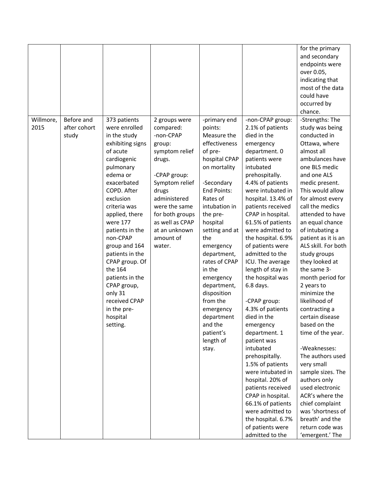|                   |                                     |                                                                                                                                                                                                                                                                                                                                                                                                                     |                                                                                                                                                                                                                                         |                                                                                                                                                                                                                                                                                                                                                                                                       |                                                                                                                                                                                                                                                                                                                                                                                                                                                                                                                                                                                                                                                                                                                                                                        | for the primary<br>and secondary<br>endpoints were<br>over 0.05,<br>indicating that<br>most of the data<br>could have<br>occurred by<br>chance.                                                                                                                                                                                                                                                                                                                                                                                                                                                                                                                                                                                                      |
|-------------------|-------------------------------------|---------------------------------------------------------------------------------------------------------------------------------------------------------------------------------------------------------------------------------------------------------------------------------------------------------------------------------------------------------------------------------------------------------------------|-----------------------------------------------------------------------------------------------------------------------------------------------------------------------------------------------------------------------------------------|-------------------------------------------------------------------------------------------------------------------------------------------------------------------------------------------------------------------------------------------------------------------------------------------------------------------------------------------------------------------------------------------------------|------------------------------------------------------------------------------------------------------------------------------------------------------------------------------------------------------------------------------------------------------------------------------------------------------------------------------------------------------------------------------------------------------------------------------------------------------------------------------------------------------------------------------------------------------------------------------------------------------------------------------------------------------------------------------------------------------------------------------------------------------------------------|------------------------------------------------------------------------------------------------------------------------------------------------------------------------------------------------------------------------------------------------------------------------------------------------------------------------------------------------------------------------------------------------------------------------------------------------------------------------------------------------------------------------------------------------------------------------------------------------------------------------------------------------------------------------------------------------------------------------------------------------------|
| Willmore,<br>2015 | Before and<br>after cohort<br>study | 373 patients<br>were enrolled<br>in the study<br>exhibiting signs<br>of acute<br>cardiogenic<br>pulmonary<br>edema or<br>exacerbated<br>COPD. After<br>exclusion<br>criteria was<br>applied, there<br>were 177<br>patients in the<br>non-CPAP<br>group and 164<br>patients in the<br>CPAP group. Of<br>the 164<br>patients in the<br>CPAP group,<br>only 31<br>received CPAP<br>in the pre-<br>hospital<br>setting. | 2 groups were<br>compared:<br>-non-CPAP<br>group:<br>symptom relief<br>drugs.<br>-CPAP group:<br>Symptom relief<br>drugs<br>administered<br>were the same<br>for both groups<br>as well as CPAP<br>at an unknown<br>amount of<br>water. | -primary end<br>points:<br>Measure the<br>effectiveness<br>of pre-<br>hospital CPAP<br>on mortality<br>-Secondary<br>End Points:<br>Rates of<br>intubation in<br>the pre-<br>hospital<br>setting and at<br>the<br>emergency<br>department,<br>rates of CPAP<br>in the<br>emergency<br>department,<br>disposition<br>from the<br>emergency<br>department<br>and the<br>patient's<br>length of<br>stay. | -non-CPAP group:<br>2.1% of patients<br>died in the<br>emergency<br>department. 0<br>patients were<br>intubated<br>prehospitally.<br>4.4% of patients<br>were intubated in<br>hospital. 13.4% of<br>patients received<br>CPAP in hospital.<br>61.5% of patients<br>were admitted to<br>the hospital. 6.9%<br>of patients were<br>admitted to the<br>ICU. The average<br>length of stay in<br>the hospital was<br>6.8 days.<br>-CPAP group:<br>4.3% of patients<br>died in the<br>emergency<br>department. 1<br>patient was<br>intubated<br>prehospitally.<br>1.5% of patients<br>were intubated in<br>hospital. 20% of<br>patients received<br>CPAP in hospital.<br>66.1% of patients<br>were admitted to<br>the hospital. 6.7%<br>of patients were<br>admitted to the | -Strengths: The<br>study was being<br>conducted in<br>Ottawa, where<br>almost all<br>ambulances have<br>one BLS medic<br>and one ALS<br>medic present.<br>This would allow<br>for almost every<br>call the medics<br>attended to have<br>an equal chance<br>of intubating a<br>patient as it is an<br>ALS skill. For both<br>study groups<br>they looked at<br>the same 3-<br>month period for<br>2 years to<br>minimize the<br>likelihood of<br>contracting a<br>certain disease<br>based on the<br>time of the year.<br>-Weaknesses:<br>The authors used<br>very small<br>sample sizes. The<br>authors only<br>used electronic<br>ACR's where the<br>chief complaint<br>was 'shortness of<br>breath' and the<br>return code was<br>'emergent.' The |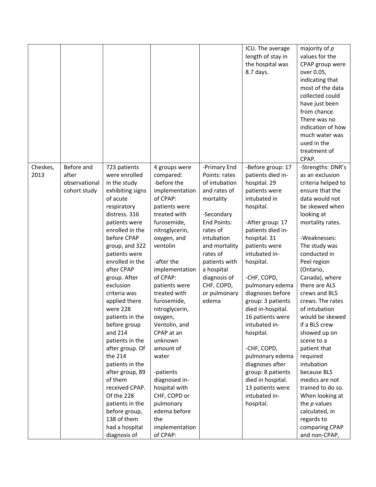|                  |                                                      |                                                                                                                                                                                                                                                                                                                                                                                                                                                                                                                                                                                     |                                                                                                                                                                                                                                                                                                                                                                                                                                                                                                |                                                                                                                                                                                                                                                       | ICU. The average<br>length of stay in<br>the hospital was<br>8.7 days.                                                                                                                                                                                                                                                                                                                                                                                                                                          | majority of $p$<br>values for the<br>CPAP group were<br>over 0.05,<br>indicating that<br>most of the data<br>collected could<br>have just been<br>from chance.<br>There was no<br>indication of how<br>much water was<br>used in the<br>treatment of<br>CPAP.                                                                                                                                                                                                                                                                                                                                       |
|------------------|------------------------------------------------------|-------------------------------------------------------------------------------------------------------------------------------------------------------------------------------------------------------------------------------------------------------------------------------------------------------------------------------------------------------------------------------------------------------------------------------------------------------------------------------------------------------------------------------------------------------------------------------------|------------------------------------------------------------------------------------------------------------------------------------------------------------------------------------------------------------------------------------------------------------------------------------------------------------------------------------------------------------------------------------------------------------------------------------------------------------------------------------------------|-------------------------------------------------------------------------------------------------------------------------------------------------------------------------------------------------------------------------------------------------------|-----------------------------------------------------------------------------------------------------------------------------------------------------------------------------------------------------------------------------------------------------------------------------------------------------------------------------------------------------------------------------------------------------------------------------------------------------------------------------------------------------------------|-----------------------------------------------------------------------------------------------------------------------------------------------------------------------------------------------------------------------------------------------------------------------------------------------------------------------------------------------------------------------------------------------------------------------------------------------------------------------------------------------------------------------------------------------------------------------------------------------------|
| Cheskes,<br>2013 | Before and<br>after<br>observational<br>cohort study | 723 patients<br>were enrolled<br>in the study<br>exhibiting signs<br>of acute<br>respiratory<br>distress. 316<br>patients were<br>enrolled in the<br>before CPAP<br>group, and 322<br>patients were<br>enrolled in the<br>after CPAP<br>group. After<br>exclusion<br>criteria was<br>applied there<br>were 228<br>patients in the<br>before group<br>and 214<br>patients in the<br>after group. Of<br>the 214<br>patients in the<br>after group, 89<br>of them<br>received CPAP.<br>Of the 228<br>patients in the<br>before group,<br>138 of them<br>had a hospital<br>diagnosis of | 4 groups were<br>compared:<br>-before the<br>implementation<br>of CPAP:<br>patients were<br>treated with<br>furosemide,<br>nitroglycerin,<br>oxygen, and<br>ventolin<br>-after the<br>implementation<br>of CPAP:<br>patients were<br>treated with<br>furosemide,<br>nitroglycerin,<br>oxygen,<br>Ventolin, and<br>CPAP at an<br>unknown<br>amount of<br>water<br>-patients<br>diagnosed in-<br>hospital with<br>CHF, COPD or<br>pulmonary<br>edema before<br>the<br>implementation<br>of CPAP: | -Primary End<br>Points: rates<br>of intubation<br>and rates of<br>mortality<br>-Secondary<br>End Points:<br>rates of<br>intubation<br>and mortality<br>rates of<br>patients with<br>a hospital<br>diagnosis of<br>CHF, COPD,<br>or pulmonary<br>edema | -Before group: 17<br>patients died in-<br>hospital. 29<br>patients were<br>intubated in<br>hospital.<br>-After group: 17<br>patients died in-<br>hospital. 31<br>patients were<br>intubated in-<br>hospital.<br>-CHF, COPD,<br>pulmonary edema<br>diagnoses before<br>group: 3 patients<br>died in-hospital.<br>16 patients were<br>intubated in-<br>hospital.<br>-CHF, COPD,<br>pulmonary edema<br>diagnoses after<br>group: 8 patients<br>died in hospital.<br>13 patients were<br>intubated in-<br>hospital. | -Strengths: DNR's<br>as an exclusion<br>criteria helped to<br>ensure that the<br>data would not<br>be skewed when<br>looking at<br>mortality rates.<br>-Weaknesses:<br>The study was<br>conducted in<br>Peel region<br>(Ontario,<br>Canada), where<br>there are ALS<br>crews and BLS<br>crews. The rates<br>of intubation<br>would be skewed<br>if a BLS crew<br>showed up on<br>scene to a<br>patient that<br>required<br>intubation<br>because BLS<br>medics are not<br>trained to do so.<br>When looking at<br>the $p$ values<br>calculated, in<br>regards to<br>comparing CPAP<br>and non-CPAP, |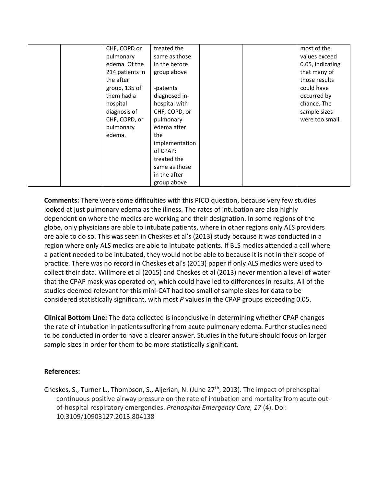| CHF, COPD or    | treated the    |  | most of the      |
|-----------------|----------------|--|------------------|
| pulmonary       | same as those  |  | values exceed    |
| edema. Of the   | in the before  |  | 0.05, indicating |
| 214 patients in | group above    |  | that many of     |
| the after       |                |  | those results    |
| group, 135 of   | -patients      |  | could have       |
| them had a      | diagnosed in-  |  | occurred by      |
| hospital        | hospital with  |  | chance. The      |
| diagnosis of    | CHF, COPD, or  |  | sample sizes     |
| CHF, COPD, or   | pulmonary      |  | were too small.  |
| pulmonary       | edema after    |  |                  |
| edema.          | the            |  |                  |
|                 | implementation |  |                  |
|                 | of CPAP:       |  |                  |
|                 | treated the    |  |                  |
|                 | same as those  |  |                  |
|                 | in the after   |  |                  |
|                 | group above    |  |                  |

**Comments:** There were some difficulties with this PICO question, because very few studies looked at just pulmonary edema as the illness. The rates of intubation are also highly dependent on where the medics are working and their designation. In some regions of the globe, only physicians are able to intubate patients, where in other regions only ALS providers are able to do so. This was seen in Cheskes et al's (2013) study because it was conducted in a region where only ALS medics are able to intubate patients. If BLS medics attended a call where a patient needed to be intubated, they would not be able to because it is not in their scope of practice. There was no record in Cheskes et al's (2013) paper if only ALS medics were used to collect their data. Willmore et al (2015) and Cheskes et al (2013) never mention a level of water that the CPAP mask was operated on, which could have led to differences in results. All of the studies deemed relevant for this mini-CAT had too small of sample sizes for data to be considered statistically significant, with most *P* values in the CPAP groups exceeding 0.05.

**Clinical Bottom Line:** The data collected is inconclusive in determining whether CPAP changes the rate of intubation in patients suffering from acute pulmonary edema. Further studies need to be conducted in order to have a clearer answer. Studies in the future should focus on larger sample sizes in order for them to be more statistically significant.

## **References:**

Cheskes, S., Turner L., Thompson, S., Aljerian, N. (June 27<sup>th</sup>, 2013). The impact of prehospital continuous positive airway pressure on the rate of intubation and mortality from acute outof-hospital respiratory emergencies. *Prehospital Emergency Care, 17* (4). Doi: 10.3109/10903127.2013.804138